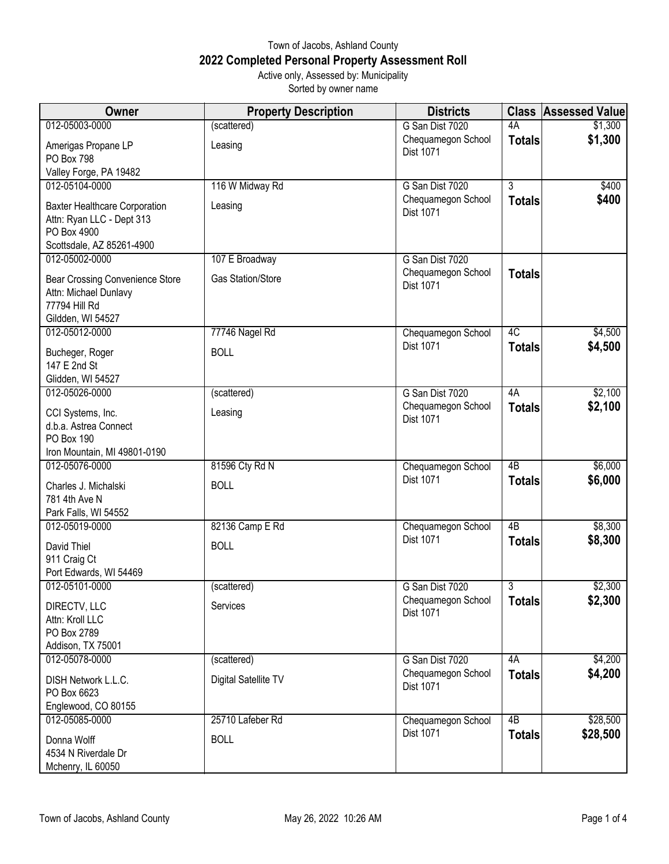## Town of Jacobs, Ashland County **2022 Completed Personal Property Assessment Roll** Active only, Assessed by: Municipality

Sorted by owner name

| Owner                                                                                                         | <b>Property Description</b>   | <b>Districts</b>                       | <b>Class</b>        | <b>Assessed Value</b> |
|---------------------------------------------------------------------------------------------------------------|-------------------------------|----------------------------------------|---------------------|-----------------------|
| 012-05003-0000                                                                                                | (scattered)                   | G San Dist 7020                        | 4A                  | \$1,300               |
| Amerigas Propane LP<br>PO Box 798                                                                             | Leasing                       | Chequamegon School<br>Dist 1071        | <b>Totals</b>       | \$1,300               |
| Valley Forge, PA 19482                                                                                        |                               |                                        |                     |                       |
| 012-05104-0000                                                                                                | 116 W Midway Rd               | G San Dist 7020                        | $\overline{3}$      | \$400                 |
| <b>Baxter Healthcare Corporation</b><br>Attn: Ryan LLC - Dept 313<br>PO Box 4900<br>Scottsdale, AZ 85261-4900 | Leasing                       | Chequamegon School<br>Dist 1071        | <b>Totals</b>       | \$400                 |
| 012-05002-0000                                                                                                | 107 E Broadway                | G San Dist 7020                        |                     |                       |
| Bear Crossing Convenience Store<br>Attn: Michael Dunlavy<br>77794 Hill Rd<br>Gildden, WI 54527                | <b>Gas Station/Store</b>      | Chequamegon School<br>Dist 1071        | <b>Totals</b>       |                       |
| 012-05012-0000                                                                                                | 77746 Nagel Rd                | Chequamegon School                     | 4C                  | \$4,500               |
| Bucheger, Roger<br>147 E 2nd St<br>Glidden, WI 54527                                                          | <b>BOLL</b>                   | <b>Dist 1071</b>                       | <b>Totals</b>       | \$4,500               |
| 012-05026-0000                                                                                                | (scattered)                   | G San Dist 7020                        | 4A                  | \$2,100               |
| CCI Systems, Inc.<br>d.b.a. Astrea Connect<br>PO Box 190                                                      | Leasing                       | Chequamegon School<br><b>Dist 1071</b> | <b>Totals</b>       | \$2,100               |
| Iron Mountain, MI 49801-0190                                                                                  |                               |                                        |                     |                       |
| 012-05076-0000<br>Charles J. Michalski<br>781 4th Ave N<br>Park Falls, WI 54552                               | 81596 Cty Rd N<br><b>BOLL</b> | Chequamegon School<br>Dist 1071        | 4B<br><b>Totals</b> | \$6,000<br>\$6,000    |
| 012-05019-0000                                                                                                | 82136 Camp E Rd               | Chequamegon School                     | $\overline{AB}$     | \$8,300               |
| David Thiel<br>911 Craig Ct<br>Port Edwards, WI 54469                                                         | <b>BOLL</b>                   | Dist 1071                              | <b>Totals</b>       | \$8,300               |
| 012-05101-0000                                                                                                | (scattered)                   | G San Dist 7020                        | 3                   | \$2,300               |
| DIRECTV, LLC<br>Attn: Kroll LLC<br>PO Box 2789<br>Addison, TX 75001                                           | Services                      | Chequamegon School<br>Dist 1071        | <b>Totals</b>       | \$2,300               |
| 012-05078-0000                                                                                                | (scattered)                   | G San Dist 7020                        | 4A                  | \$4,200               |
| DISH Network L.L.C.<br>PO Box 6623<br>Englewood, CO 80155                                                     | Digital Satellite TV          | Chequamegon School<br>Dist 1071        | <b>Totals</b>       | \$4,200               |
| 012-05085-0000                                                                                                | 25710 Lafeber Rd              | Chequamegon School                     | 4B                  | \$28,500              |
| Donna Wolff<br>4534 N Riverdale Dr<br>Mchenry, IL 60050                                                       | <b>BOLL</b>                   | Dist 1071                              | <b>Totals</b>       | \$28,500              |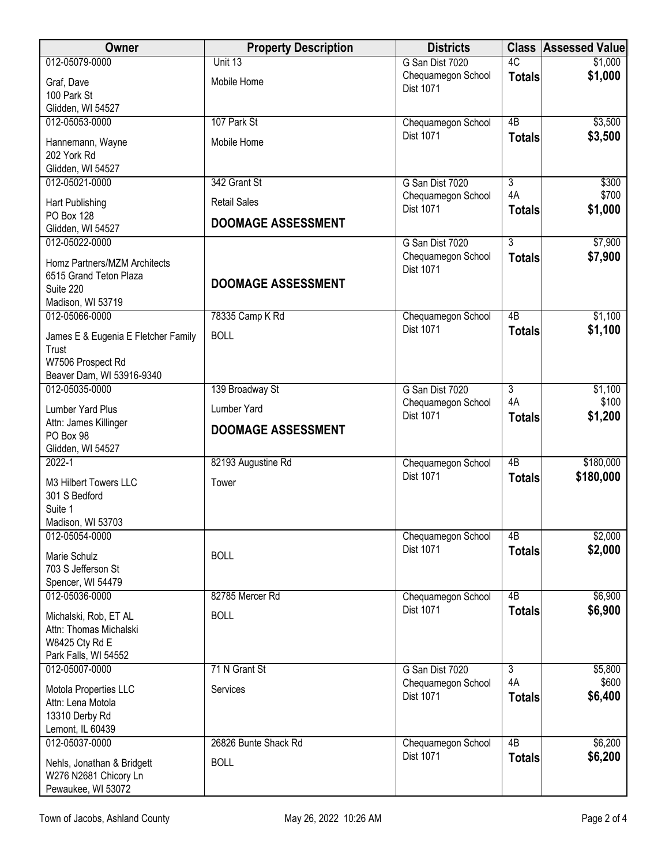| Owner                                                                                     | <b>Property Description</b>    | <b>Districts</b>                       |                           | <b>Class Assessed Value</b> |
|-------------------------------------------------------------------------------------------|--------------------------------|----------------------------------------|---------------------------|-----------------------------|
| 012-05079-0000                                                                            | Unit 13                        | G San Dist 7020                        | 4C                        | \$1,000                     |
| Graf, Dave<br>100 Park St<br>Glidden, WI 54527                                            | Mobile Home                    | Chequamegon School<br><b>Dist 1071</b> | <b>Totals</b>             | \$1,000                     |
| 012-05053-0000                                                                            | 107 Park St                    | Chequamegon School                     | $\overline{AB}$           | \$3,500                     |
| Hannemann, Wayne<br>202 York Rd<br>Glidden, WI 54527                                      | Mobile Home                    | Dist 1071                              | <b>Totals</b>             | \$3,500                     |
| 012-05021-0000                                                                            | 342 Grant St                   | G San Dist 7020                        | $\overline{\overline{3}}$ | \$300                       |
| Hart Publishing                                                                           | <b>Retail Sales</b>            | Chequamegon School<br>Dist 1071        | 4A<br><b>Totals</b>       | \$700<br>\$1,000            |
| PO Box 128<br>Glidden, WI 54527                                                           | <b>DOOMAGE ASSESSMENT</b>      |                                        |                           |                             |
| 012-05022-0000                                                                            |                                | G San Dist 7020                        | $\overline{3}$            | \$7,900                     |
| Homz Partners/MZM Architects<br>6515 Grand Teton Plaza<br>Suite 220                       | <b>DOOMAGE ASSESSMENT</b>      | Chequamegon School<br><b>Dist 1071</b> | <b>Totals</b>             | \$7,900                     |
| Madison, WI 53719<br>012-05066-0000                                                       |                                |                                        | 4B                        | \$1,100                     |
| James E & Eugenia E Fletcher Family                                                       | 78335 Camp K Rd<br><b>BOLL</b> | Chequamegon School<br>Dist 1071        | <b>Totals</b>             | \$1,100                     |
| Trust<br>W7506 Prospect Rd<br>Beaver Dam, WI 53916-9340                                   |                                |                                        |                           |                             |
| 012-05035-0000                                                                            | 139 Broadway St                | G San Dist 7020                        | $\overline{3}$            | \$1,100                     |
| Lumber Yard Plus                                                                          | Lumber Yard                    | Chequamegon School                     | 4A                        | \$100                       |
| Attn: James Killinger<br>PO Box 98<br>Glidden, WI 54527                                   | <b>DOOMAGE ASSESSMENT</b>      | <b>Dist 1071</b>                       | <b>Totals</b>             | \$1,200                     |
| $2022 - 1$                                                                                | 82193 Augustine Rd             | Chequamegon School                     | $\overline{AB}$           | \$180,000                   |
| M3 Hilbert Towers LLC<br>301 S Bedford<br>Suite 1<br>Madison, WI 53703                    | Tower                          | Dist 1071                              | <b>Totals</b>             | \$180,000                   |
| 012-05054-0000                                                                            |                                | Chequamegon School                     | 4B                        | \$2,000                     |
| Marie Schulz<br>703 S Jefferson St<br>Spencer, WI 54479                                   | <b>BOLL</b>                    | Dist 1071                              | <b>Totals</b>             | \$2,000                     |
| 012-05036-0000                                                                            | 82785 Mercer Rd                | Chequamegon School                     | 4B                        | \$6,900                     |
| Michalski, Rob, ET AL<br>Attn: Thomas Michalski<br>W8425 Cty Rd E<br>Park Falls, WI 54552 | <b>BOLL</b>                    | Dist 1071                              | <b>Totals</b>             | \$6,900                     |
| 012-05007-0000                                                                            | 71 N Grant St                  | G San Dist 7020                        | $\overline{3}$            | \$5,800                     |
| Motola Properties LLC<br>Attn: Lena Motola<br>13310 Derby Rd<br>Lemont, IL 60439          | Services                       | Chequamegon School<br>Dist 1071        | 4A<br><b>Totals</b>       | \$600<br>\$6,400            |
| 012-05037-0000                                                                            | 26826 Bunte Shack Rd           | Chequamegon School<br>Dist 1071        | $\overline{AB}$           | \$6,200                     |
| Nehls, Jonathan & Bridgett<br>W276 N2681 Chicory Ln<br>Pewaukee, WI 53072                 | <b>BOLL</b>                    |                                        | <b>Totals</b>             | \$6,200                     |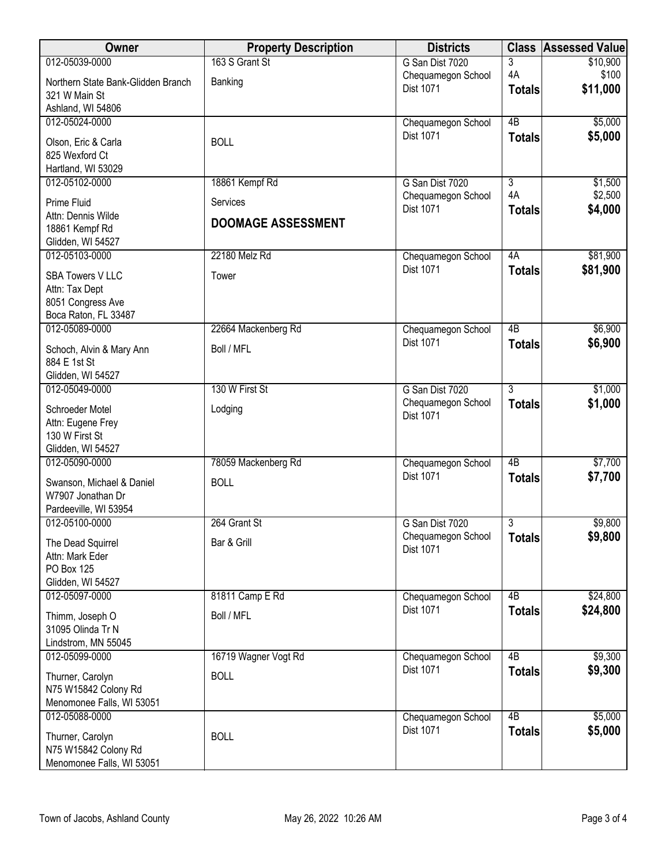| Owner                                    | <b>Property Description</b> | <b>Districts</b>                | <b>Class</b>    | <b>Assessed Value</b> |
|------------------------------------------|-----------------------------|---------------------------------|-----------------|-----------------------|
| 012-05039-0000                           | 163 S Grant St              | G San Dist 7020                 | 3               | \$10,900              |
| Northern State Bank-Glidden Branch       | Banking                     | Chequamegon School              | 4A              | \$100                 |
| 321 W Main St                            |                             | Dist 1071                       | <b>Totals</b>   | \$11,000              |
| Ashland, WI 54806                        |                             |                                 |                 |                       |
| 012-05024-0000                           |                             | Chequamegon School              | $\overline{AB}$ | \$5,000               |
| Olson, Eric & Carla                      | <b>BOLL</b>                 | Dist 1071                       | <b>Totals</b>   | \$5,000               |
| 825 Wexford Ct                           |                             |                                 |                 |                       |
| Hartland, WI 53029                       |                             |                                 |                 |                       |
| 012-05102-0000                           | 18861 Kempf Rd              | G San Dist 7020                 | $\overline{3}$  | \$1,500               |
| Prime Fluid                              | Services                    | Chequamegon School<br>Dist 1071 | 4A              | \$2,500               |
| Attn: Dennis Wilde                       | <b>DOOMAGE ASSESSMENT</b>   |                                 | <b>Totals</b>   | \$4,000               |
| 18861 Kempf Rd                           |                             |                                 |                 |                       |
| Glidden, WI 54527                        |                             |                                 |                 |                       |
| 012-05103-0000                           | 22180 Melz Rd               | Chequamegon School              | 4A              | \$81,900              |
| <b>SBA Towers V LLC</b>                  | Tower                       | Dist 1071                       | <b>Totals</b>   | \$81,900              |
| Attn: Tax Dept                           |                             |                                 |                 |                       |
| 8051 Congress Ave                        |                             |                                 |                 |                       |
| Boca Raton, FL 33487                     |                             |                                 | $\overline{AB}$ | \$6,900               |
| 012-05089-0000                           | 22664 Mackenberg Rd         | Chequamegon School<br>Dist 1071 |                 | \$6,900               |
| Schoch, Alvin & Mary Ann                 | Boll / MFL                  |                                 | <b>Totals</b>   |                       |
| 884 E 1st St                             |                             |                                 |                 |                       |
| Glidden, WI 54527                        |                             |                                 |                 |                       |
| 012-05049-0000                           | 130 W First St              | G San Dist 7020                 | $\overline{3}$  | \$1,000<br>\$1,000    |
| Schroeder Motel                          | Lodging                     | Chequamegon School<br>Dist 1071 | <b>Totals</b>   |                       |
| Attn: Eugene Frey                        |                             |                                 |                 |                       |
| 130 W First St                           |                             |                                 |                 |                       |
| Glidden, WI 54527<br>012-05090-0000      | 78059 Mackenberg Rd         | Chequamegon School              | $\overline{AB}$ | \$7,700               |
|                                          |                             | <b>Dist 1071</b>                | <b>Totals</b>   | \$7,700               |
| Swanson, Michael & Daniel                | <b>BOLL</b>                 |                                 |                 |                       |
| W7907 Jonathan Dr                        |                             |                                 |                 |                       |
| Pardeeville, WI 53954<br>012-05100-0000  | 264 Grant St                | G San Dist 7020                 | $\overline{3}$  | \$9,800               |
|                                          |                             | Chequamegon School              | <b>Totals</b>   | \$9,800               |
| The Dead Squirrel                        | Bar & Grill                 | Dist 1071                       |                 |                       |
| Attn: Mark Eder<br>PO Box 125            |                             |                                 |                 |                       |
| Glidden, WI 54527                        |                             |                                 |                 |                       |
| 012-05097-0000                           | 81811 Camp E Rd             | Chequamegon School              | 4B              | \$24,800              |
|                                          | Boll / MFL                  | Dist 1071                       | <b>Totals</b>   | \$24,800              |
| Thimm, Joseph O<br>31095 Olinda Tr N     |                             |                                 |                 |                       |
| Lindstrom, MN 55045                      |                             |                                 |                 |                       |
| 012-05099-0000                           | 16719 Wagner Vogt Rd        | Chequamegon School              | $\overline{AB}$ | \$9,300               |
| Thurner, Carolyn                         | <b>BOLL</b>                 | <b>Dist 1071</b>                | <b>Totals</b>   | \$9,300               |
| N75 W15842 Colony Rd                     |                             |                                 |                 |                       |
| Menomonee Falls, WI 53051                |                             |                                 |                 |                       |
| 012-05088-0000                           |                             | Chequamegon School              | $\overline{AB}$ | \$5,000               |
|                                          |                             | Dist 1071                       | <b>Totals</b>   | \$5,000               |
| Thurner, Carolyn<br>N75 W15842 Colony Rd | <b>BOLL</b>                 |                                 |                 |                       |
| Menomonee Falls, WI 53051                |                             |                                 |                 |                       |